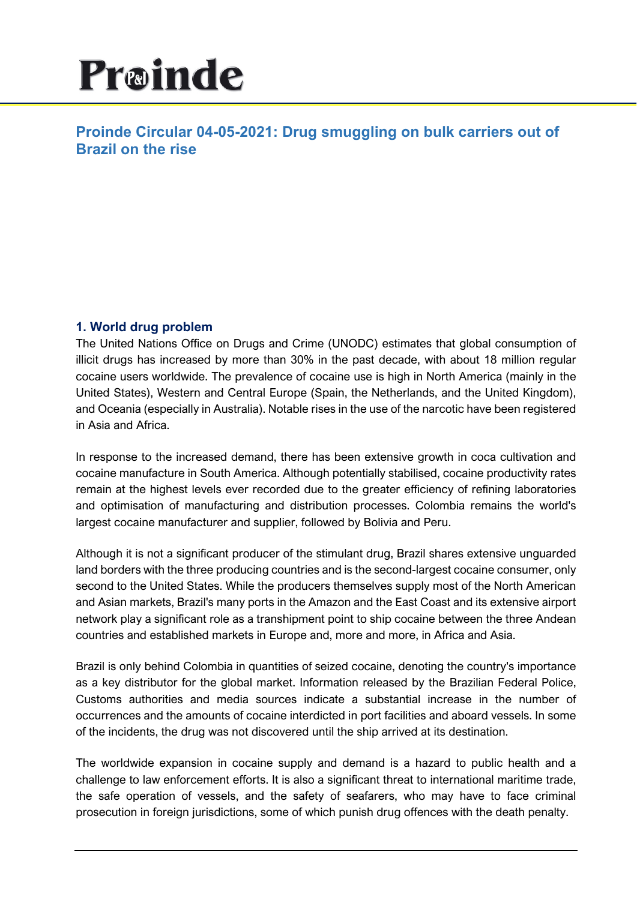# Proinde

# **Proinde Circular 04-05-2021: Drug smuggling on bulk carriers out of Brazil on the rise**

# **1. World drug problem**

The United Nations Office on Drugs and Crime (UNODC) estimates that global consumption of illicit drugs has increased by more than 30% in the past decade, with about 18 million regular cocaine users worldwide. The prevalence of cocaine use is high in North America (mainly in the United States), Western and Central Europe (Spain, the Netherlands, and the United Kingdom), and Oceania (especially in Australia). Notable rises in the use of the narcotic have been registered in Asia and Africa.

In response to the increased demand, there has been extensive growth in coca cultivation and cocaine manufacture in South America. Although potentially stabilised, cocaine productivity rates remain at the highest levels ever recorded due to the greater efficiency of refining laboratories and optimisation of manufacturing and distribution processes. Colombia remains the world's largest cocaine manufacturer and supplier, followed by Bolivia and Peru.

Although it is not a significant producer of the stimulant drug, Brazil shares extensive unguarded land borders with the three producing countries and is the second-largest cocaine consumer, only second to the United States. While the producers themselves supply most of the North American and Asian markets, Brazil's many ports in the Amazon and the East Coast and its extensive airport network play a significant role as a transhipment point to ship cocaine between the three Andean countries and established markets in Europe and, more and more, in Africa and Asia.

Brazil is only behind Colombia in quantities of seized cocaine, denoting the country's importance as a key distributor for the global market. Information released by the Brazilian Federal Police, Customs authorities and media sources indicate a substantial increase in the number of occurrences and the amounts of cocaine interdicted in port facilities and aboard vessels. In some of the incidents, the drug was not discovered until the ship arrived at its destination.

The worldwide expansion in cocaine supply and demand is a hazard to public health and a challenge to law enforcement efforts. It is also a significant threat to international maritime trade, the safe operation of vessels, and the safety of seafarers, who may have to face criminal prosecution in foreign jurisdictions, some of which punish drug offences with the death penalty.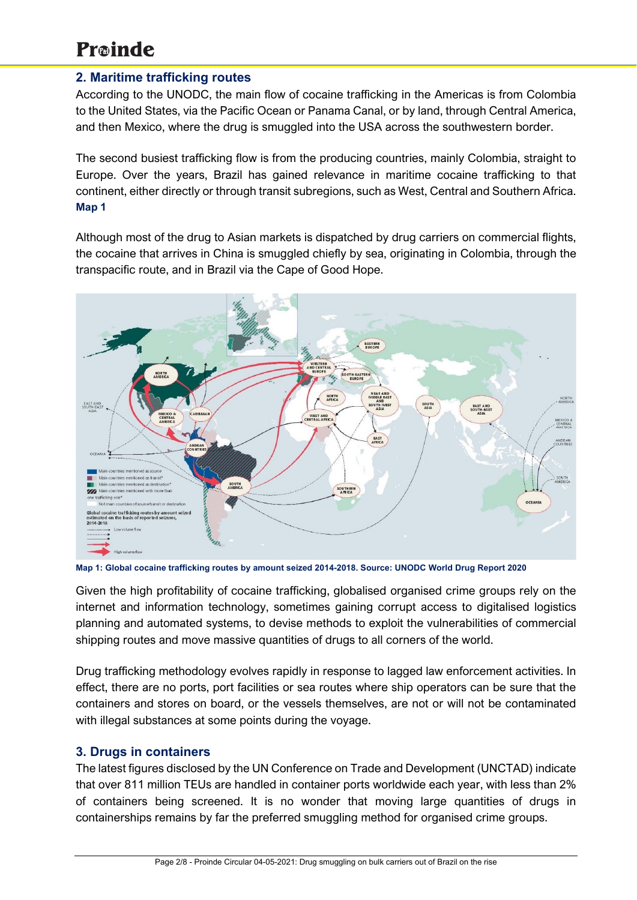# **2. Maritime trafficking routes**

According to the UNODC, the main flow of cocaine trafficking in the Americas is from Colombia to the United States, via the Pacific Ocean or Panama Canal, or by land, through Central America, and then Mexico, where the drug is smuggled into the USA across the southwestern border.

The second busiest trafficking flow is from the producing countries, mainly Colombia, straight to Europe. Over the years, Brazil has gained relevance in maritime cocaine trafficking to that continent, either directly or through transit subregions, such as West, Central and Southern Africa. **Map 1**

Although most of the drug to Asian markets is dispatched by drug carriers on commercial flights, the cocaine that arrives in China is smuggled chiefly by sea, originating in Colombia, through the transpacific route, and in Brazil via the Cape of Good Hope.



**Map 1: Global cocaine trafficking routes by amount seized 2014-2018. Source: UNODC World Drug Report 2020**

Given the high profitability of cocaine trafficking, globalised organised crime groups rely on the internet and information technology, sometimes gaining corrupt access to digitalised logistics planning and automated systems, to devise methods to exploit the vulnerabilities of commercial shipping routes and move massive quantities of drugs to all corners of the world.

Drug trafficking methodology evolves rapidly in response to lagged law enforcement activities. In effect, there are no ports, port facilities or sea routes where ship operators can be sure that the containers and stores on board, or the vessels themselves, are not or will not be contaminated with illegal substances at some points during the voyage.

# **3. Drugs in containers**

The latest figures disclosed by the UN Conference on Trade and Development (UNCTAD) indicate that over 811 million TEUs are handled in container ports worldwide each year, with less than 2% of containers being screened. It is no wonder that moving large quantities of drugs in containerships remains by far the preferred smuggling method for organised crime groups.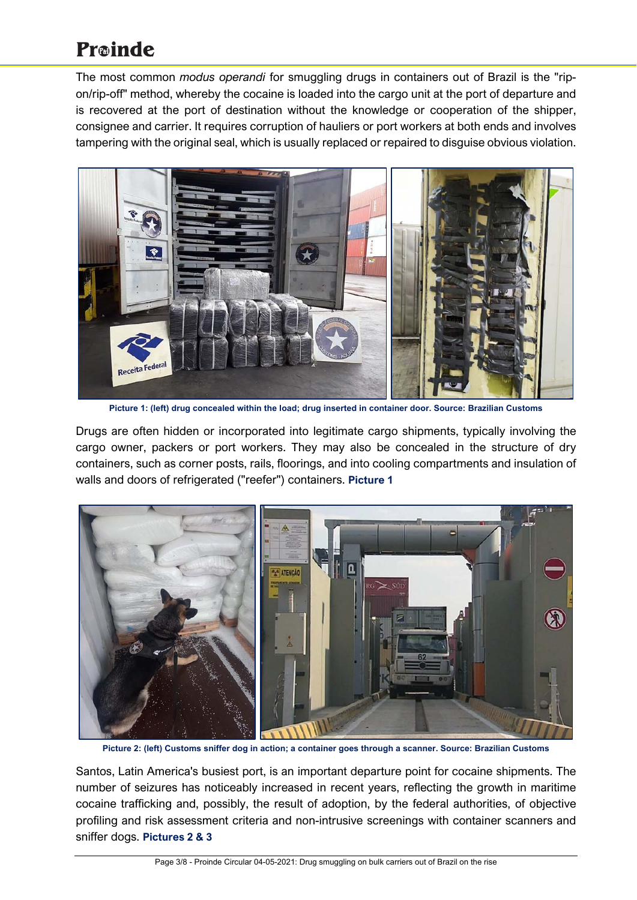The most common *modus operandi* for smuggling drugs in containers out of Brazil is the "ripon/rip-off" method, whereby the cocaine is loaded into the cargo unit at the port of departure and is recovered at the port of destination without the knowledge or cooperation of the shipper, consignee and carrier. It requires corruption of hauliers or port workers at both ends and involves tampering with the original seal, which is usually replaced or repaired to disguise obvious violation.



**Picture 1: (left) drug concealed within the load; drug inserted in container door. Source: Brazilian Customs** 

Drugs are often hidden or incorporated into legitimate cargo shipments, typically involving the cargo owner, packers or port workers. They may also be concealed in the structure of dry containers, such as corner posts, rails, floorings, and into cooling compartments and insulation of walls and doors of refrigerated ("reefer") containers. **Picture 1**



**Picture 2: (left) Customs sniffer dog in action; a container goes through a scanner. Source: Brazilian Customs**

Santos, Latin America's busiest port, is an important departure point for cocaine shipments. The number of seizures has noticeably increased in recent years, reflecting the growth in maritime cocaine trafficking and, possibly, the result of adoption, by the federal authorities, of objective profiling and risk assessment criteria and non-intrusive screenings with container scanners and sniffer dogs. **Pictures 2 & 3**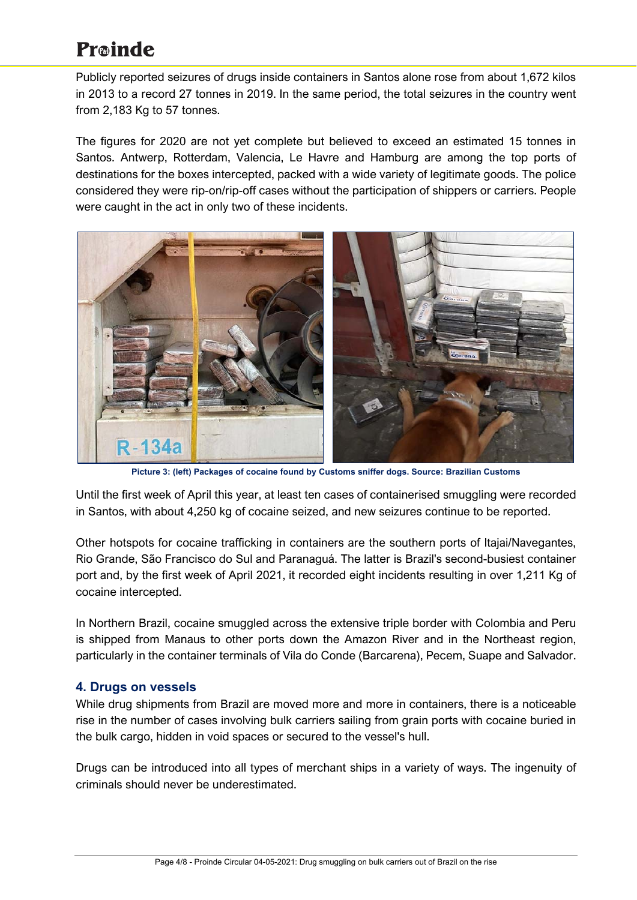Publicly reported seizures of drugs inside containers in Santos alone rose from about 1,672 kilos in 2013 to a record 27 tonnes in 2019. In the same period, the total seizures in the country went from 2,183 Kg to 57 tonnes.

The figures for 2020 are not yet complete but believed to exceed an estimated 15 tonnes in Santos. Antwerp, Rotterdam, Valencia, Le Havre and Hamburg are among the top ports of destinations for the boxes intercepted, packed with a wide variety of legitimate goods. The police considered they were rip-on/rip-off cases without the participation of shippers or carriers. People were caught in the act in only two of these incidents.



**Picture 3: (left) Packages of cocaine found by Customs sniffer dogs. Source: Brazilian Customs**

Until the first week of April this year, at least ten cases of containerised smuggling were recorded in Santos, with about 4,250 kg of cocaine seized, and new seizures continue to be reported.

Other hotspots for cocaine trafficking in containers are the southern ports of Itajai/Navegantes, Rio Grande, São Francisco do Sul and Paranaguá. The latter is Brazil's second-busiest container port and, by the first week of April 2021, it recorded eight incidents resulting in over 1,211 Kg of cocaine intercepted.

In Northern Brazil, cocaine smuggled across the extensive triple border with Colombia and Peru is shipped from Manaus to other ports down the Amazon River and in the Northeast region, particularly in the container terminals of Vila do Conde (Barcarena), Pecem, Suape and Salvador.

# **4. Drugs on vessels**

While drug shipments from Brazil are moved more and more in containers, there is a noticeable rise in the number of cases involving bulk carriers sailing from grain ports with cocaine buried in the bulk cargo, hidden in void spaces or secured to the vessel's hull.

Drugs can be introduced into all types of merchant ships in a variety of ways. The ingenuity of criminals should never be underestimated.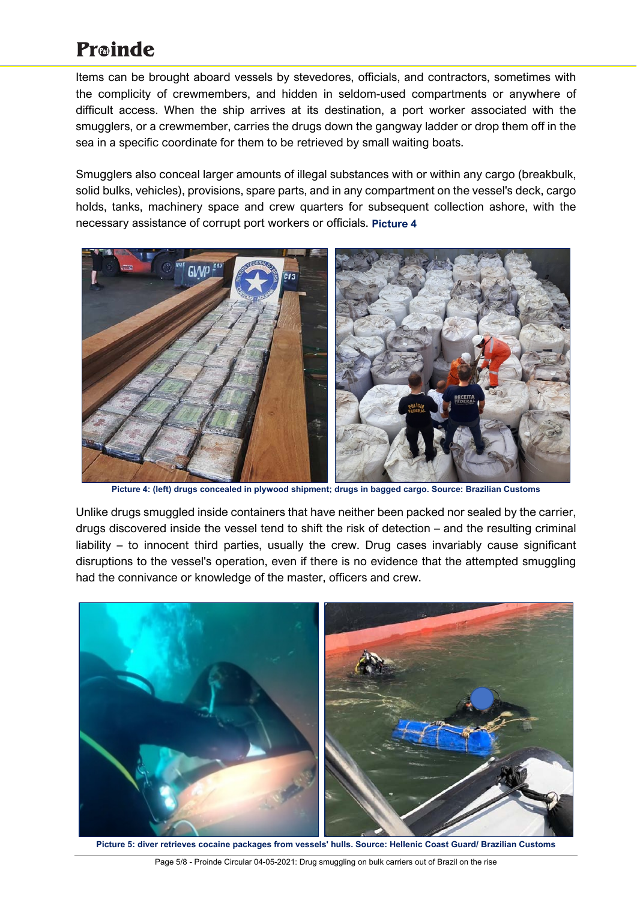Items can be brought aboard vessels by stevedores, officials, and contractors, sometimes with the complicity of crewmembers, and hidden in seldom-used compartments or anywhere of difficult access. When the ship arrives at its destination, a port worker associated with the smugglers, or a crewmember, carries the drugs down the gangway ladder or drop them off in the sea in a specific coordinate for them to be retrieved by small waiting boats.

Smugglers also conceal larger amounts of illegal substances with or within any cargo (breakbulk, solid bulks, vehicles), provisions, spare parts, and in any compartment on the vessel's deck, cargo holds, tanks, machinery space and crew quarters for subsequent collection ashore, with the necessary assistance of corrupt port workers or officials. **Picture 4**



**Picture 4: (left) drugs concealed in plywood shipment; drugs in bagged cargo. Source: Brazilian Customs** 

Unlike drugs smuggled inside containers that have neither been packed nor sealed by the carrier, drugs discovered inside the vessel tend to shift the risk of detection – and the resulting criminal liability – to innocent third parties, usually the crew. Drug cases invariably cause significant disruptions to the vessel's operation, even if there is no evidence that the attempted smuggling had the connivance or knowledge of the master, officers and crew.



**Picture 5: diver retrieves cocaine packages from vessels' hulls. Source: Hellenic Coast Guard/ Brazilian Customs**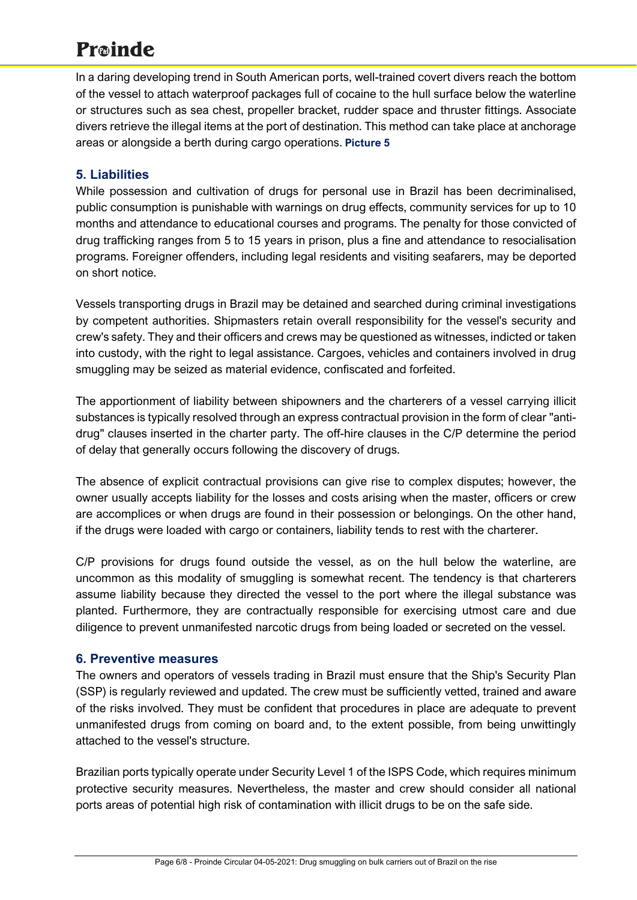In a daring developing trend in South American ports, well-trained covert divers reach the bottom of the vessel to attach waterproof packages full of cocaine to the hull surface below the waterline or structures such as sea chest, propeller bracket, rudder space and thruster fittings. Associate divers retrieve the illegal items at the port of destination. This method can take place at anchorage areas or alongside a berth during cargo operations. **Picture 5**

# **5. Liabilities**

While possession and cultivation of drugs for personal use in Brazil has been decriminalised, public consumption is punishable with warnings on drug effects, community services for up to 10 months and attendance to educational courses and programs. The penalty for those convicted of drug trafficking ranges from 5 to 15 years in prison, plus a fine and attendance to resocialisation programs. Foreigner offenders, including legal residents and visiting seafarers, may be deported on short notice.

Vessels transporting drugs in Brazil may be detained and searched during criminal investigations by competent authorities. Shipmasters retain overall responsibility for the vessel's security and crew's safety. They and their officers and crews may be questioned as witnesses, indicted or taken into custody, with the right to legal assistance. Cargoes, vehicles and containers involved in drug smuggling may be seized as material evidence, confiscated and forfeited.

The apportionment of liability between shipowners and the charterers of a vessel carrying illicit substances is typically resolved through an express contractual provision in the form of clear "antidrug" clauses inserted in the charter party. The off-hire clauses in the C/P determine the period of delay that generally occurs following the discovery of drugs.

The absence of explicit contractual provisions can give rise to complex disputes; however, the owner usually accepts liability for the losses and costs arising when the master, officers or crew are accomplices or when drugs are found in their possession or belongings. On the other hand, if the drugs were loaded with cargo or containers, liability tends to rest with the charterer.

C/P provisions for drugs found outside the vessel, as on the hull below the waterline, are uncommon as this modality of smuggling is somewhat recent. The tendency is that charterers assume liability because they directed the vessel to the port where the illegal substance was planted. Furthermore, they are contractually responsible for exercising utmost care and due diligence to prevent unmanifested narcotic drugs from being loaded or secreted on the vessel.

# **6. Preventive measures**

The owners and operators of vessels trading in Brazil must ensure that the Ship's Security Plan (SSP) is regularly reviewed and updated. The crew must be sufficiently vetted, trained and aware of the risks involved. They must be confident that procedures in place are adequate to prevent unmanifested drugs from coming on board and, to the extent possible, from being unwittingly attached to the vessel's structure.

Brazilian ports typically operate under Security Level 1 of the ISPS Code, which requires minimum protective security measures. Nevertheless, the master and crew should consider all national ports areas of potential high risk of contamination with illicit drugs to be on the safe side.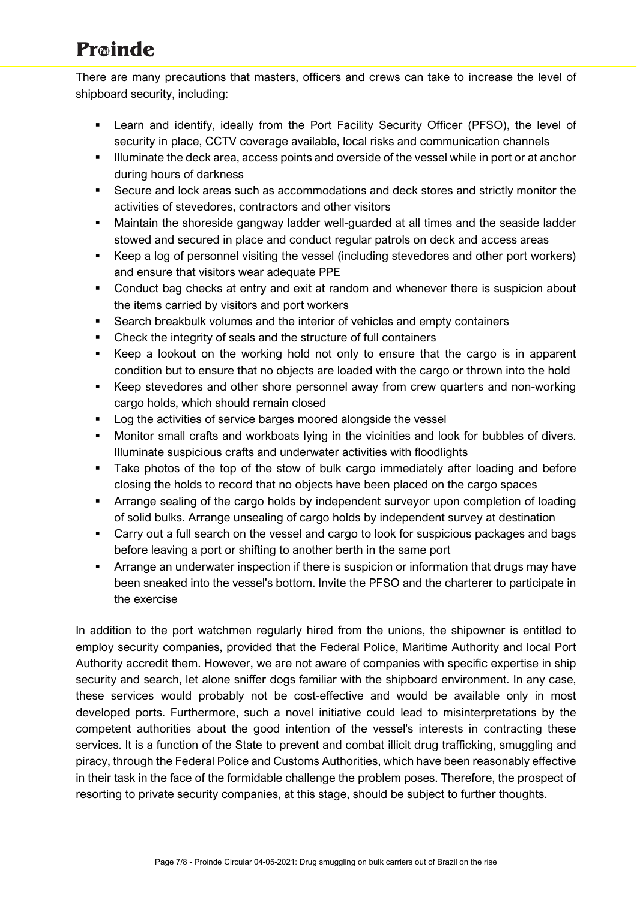There are many precautions that masters, officers and crews can take to increase the level of shipboard security, including:

- Learn and identify, ideally from the Port Facility Security Officer (PFSO), the level of security in place, CCTV coverage available, local risks and communication channels
- Illuminate the deck area, access points and overside of the vessel while in port or at anchor during hours of darkness
- Secure and lock areas such as accommodations and deck stores and strictly monitor the activities of stevedores, contractors and other visitors
- Maintain the shoreside gangway ladder well-guarded at all times and the seaside ladder stowed and secured in place and conduct regular patrols on deck and access areas
- Keep a log of personnel visiting the vessel (including stevedores and other port workers) and ensure that visitors wear adequate PPE
- Conduct bag checks at entry and exit at random and whenever there is suspicion about the items carried by visitors and port workers
- Search breakbulk volumes and the interior of vehicles and empty containers
- Check the integrity of seals and the structure of full containers
- Keep a lookout on the working hold not only to ensure that the cargo is in apparent condition but to ensure that no objects are loaded with the cargo or thrown into the hold
- Keep stevedores and other shore personnel away from crew quarters and non-working cargo holds, which should remain closed
- **Log the activities of service barges moored alongside the vessel**
- Monitor small crafts and workboats lying in the vicinities and look for bubbles of divers. Illuminate suspicious crafts and underwater activities with floodlights
- Take photos of the top of the stow of bulk cargo immediately after loading and before closing the holds to record that no objects have been placed on the cargo spaces
- Arrange sealing of the cargo holds by independent surveyor upon completion of loading of solid bulks. Arrange unsealing of cargo holds by independent survey at destination
- Carry out a full search on the vessel and cargo to look for suspicious packages and bags before leaving a port or shifting to another berth in the same port
- **Arrange an underwater inspection if there is suspicion or information that drugs may have** been sneaked into the vessel's bottom. Invite the PFSO and the charterer to participate in the exercise

In addition to the port watchmen regularly hired from the unions, the shipowner is entitled to employ security companies, provided that the Federal Police, Maritime Authority and local Port Authority accredit them. However, we are not aware of companies with specific expertise in ship security and search, let alone sniffer dogs familiar with the shipboard environment. In any case, these services would probably not be cost-effective and would be available only in most developed ports. Furthermore, such a novel initiative could lead to misinterpretations by the competent authorities about the good intention of the vessel's interests in contracting these services. It is a function of the State to prevent and combat illicit drug trafficking, smuggling and piracy, through the Federal Police and Customs Authorities, which have been reasonably effective in their task in the face of the formidable challenge the problem poses. Therefore, the prospect of resorting to private security companies, at this stage, should be subject to further thoughts.